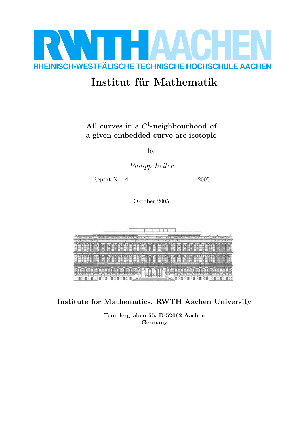

# Institut für Mathematik

### All curves in a  $C^1$ -neighbourhood of a given embedded curve are isotopic

by

Philipp Reiter

Report No. 4 2005

Oktober 2005

Institute for Mathematics, RWTH Aachen University

Templergraben 55, D-52062 Aachen Germany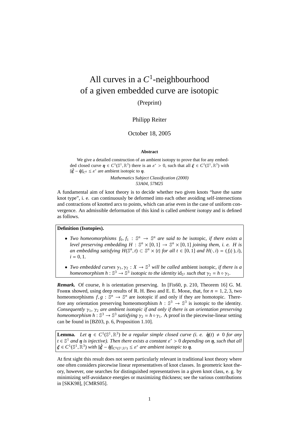## All curves in a *C* 1 -neighbourhood of a given embedded curve are isotopic

(Preprint)

#### Philipp Reiter

#### October 18, 2005

#### **Abstract**

We give a detailed construction of an ambient isotopy to prove that for any embedded closed curve  $\eta \in C^1(\mathbb{S}^1,\mathbb{R}^3)$  there is an  $\varepsilon^* > 0$ , such that all  $\xi \in C^1(\mathbb{S}^1,\mathbb{R}^3)$  with  $\|\dot{\xi} - \dot{\eta}\|_{C^0} \leq \varepsilon^*$  are ambient isotopic to  $\eta$ . *Mathematics Subject Classification (2000)*

*53A04, 57M25*

A fundamental aim of knot theory is to decide whether two given knots "have the same knot type", i. e. can continuously be deformed into each other avoiding self-intersections and contractions of knotted arcs to points, which can arise even in the case of uniform convergence. An admissible deformation of this kind is called *ambient isotopy* and is defined as follows.

**Definition (Isotopies).**

- *Two homeomorphisms*  $f_0, f_1 : \mathbb{S}^n \to \mathbb{S}^n$  *are said to be isotopic, if there exists a level preserving embedding*  $H : \mathbb{S}^n \times [0,1] \to \mathbb{S}^n \times [0,1]$  *joining them, i. e. H is an embedding satisfying*  $H(\mathbb{S}^n, t) \subset \mathbb{S}^n \times \{t\}$  *for all*  $t \in [0, 1]$  *and*  $H(\cdot, i) = (f_i(\cdot), i)$ *,*  $i = 0, 1$ .
- *Two embedded curves*  $\gamma_1, \gamma_2 : X \to \mathbb{S}^3$  *will be called* ambient isotopic, *if there is a homeomorphism*  $h: \mathbb{S}^3 \to \mathbb{S}^3$  *isotopic to the identity*  $id_{\mathbb{S}^3}$  *such that*  $\gamma_2 = h \circ \gamma_1$ *.*

*Remark.* Of course, *h* is orientation preserving. In [Fis60, p. 210, Theorem 16] G. M. FISHER showed, using deep results of R. H. BING and E. E. Moise, that, for  $n = 1, 2, 3$ , two homeomorphisms  $f, g : \mathbb{S}^n \to \mathbb{S}^n$  are isotopic if and only if they are homotopic. Therefore any orientation preserving homeomorphism  $h : \mathbb{S}^3 \to \mathbb{S}^3$  is isotopic to the identity. *Consequently* γ<sub>1</sub>, γ<sub>2</sub> *are ambient isotopic if and only if there is an orientation preserving homeomorphism*  $h : \mathbb{S}^3 \to \mathbb{S}^3$  *satisfying*  $\gamma_2 = h \circ \gamma_1$ . A proof in the piecewise-linear setting can be found in [BZ03, p. 6, Proposition 1.10].

**Lemma.** Let  $\eta \in C^1(\mathbb{S}^1,\mathbb{R}^3)$  be a regular simple closed curve (i. e.  $\dot{\eta}(t) \neq 0$  for any  $t \in \mathbb{S}^1$  and  $\eta$  is injective). Then there exists a constant  $\varepsilon^* > 0$  depending on  $\eta$ , such that all  $\xi \in C^1(\mathbb{S}^1, \mathbb{R}^3)$  with  $\|\dot{\xi} - \dot{\eta}\|_{C^0(\mathbb{S}^1, \mathbb{R}^3)} \leq \varepsilon^*$  are ambient isotopic to  $\eta$ .

At first sight this result does not seem particularly relevant in traditional knot theory where one often considers piecewise linear representatives of knot classes. In geometric knot theory, however, one searches for distinguished representatives in a given knot class, e. g. by minimizing self-avoidance energies or maximizing thickness; see the various contributions in [SKK98], [CMRS05].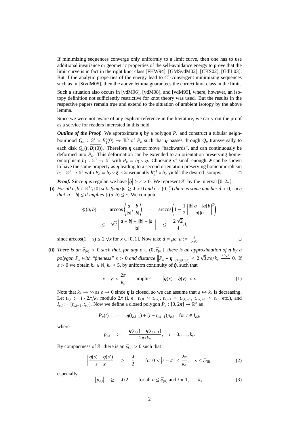If minimizing sequences converge only uniformly to a limit curve, then one has to use additional invariance or geometric properties of the self-avoidance energy to prove that the limit curve is in fact in the right knot class [FHW94], [GMSvdM02], [CKS02], [GdlL03]. But if the analytic properties of the energy lead to  $C<sup>1</sup>$ -convergent minimizing sequences such as in [StvdM05], then the above lemma guarantees the correct knot class in the limit.

Such a situation also occurs in [vdM96], [vdM98], and [vdM99], where, however, an isotopy definition not sufficiently restrictive for knot theory was used. But the results in the respective papers remain true and extend to the situation of ambient isotopy by the above lemma.

Since we were not aware of any explicit reference in the literature, we carry out the proof as a service for readers interested in this field.

*Outline of the Proof.* We approximate  $\eta$  by a polygon  $P_{\varepsilon}$  and construct a tubular neighbourhood  $Q_{\varepsilon}$  :  $\mathbb{S}^1 \times B_1^2(0) \to \mathbb{R}^3$  of  $P_{\varepsilon}$  such that  $\eta$  passes through  $Q_{\varepsilon}$  transversally to each disk  $Q_{\varepsilon}(t, B_1^2(0))$ . Therefore  $\eta$  cannot move "backwards", and can continuously be deformed into  $P_{\varepsilon}$ . This deformation can be extended to an orientation preserving homeomorphism  $h_1: \mathbb{S}^3 \to \mathbb{S}^3$  with  $P_{\varepsilon} = h_1 \circ \eta$ . Choosing  $\varepsilon^*$  small enough,  $\xi$  can be shown to have the same property as  $\eta$  leading to a second orientation preserving homeomorphism *h*<sub>2</sub> :  $\mathbb{S}^3$  →  $\mathbb{S}^3$  with  $P_{\varepsilon} = h_2 \circ \xi$ . Consequently  $h_1^{-1} \circ h_2$  yields the desired isotopy.  $\Box$ 

*Proof.* Since  $\eta$  is regular, we have  $|\dot{\eta}| \ge \lambda > 0$ . We represent  $\mathbb{S}^1$  by the interval  $[0, 2\pi]$ .

**(i)** For all  $a, b \in \mathbb{R}^3 \setminus \{0\}$  satisfying  $|a| \ge \lambda > 0$  and  $c \in (0, \frac{\pi}{2})$  there is some number  $d > 0$ , such *that*  $|a - b| \le d$  *implies*  $\angle(a, b) \le c$ . We compute

$$
\begin{array}{rcl}\n\star (a,b) & = & \arccos\left\langle \frac{a}{|a|}, \frac{b}{|b|} \right\rangle \\
& \leq & \sqrt{2} \left| \frac{|a-b| + ||b| - |a||}{|a|} \right| \\
& \leq & \sqrt{2} \left| \frac{|a-b| + ||b| - |a||}{|a|} \right| \\
& \leq & \frac{2\sqrt{2}}{\lambda} d,\n\end{array}
$$

since arccos(1 – *x*)  $\leq 2\sqrt{x}$  for  $x \in [0, 1]$ . Now take  $d = \mu c, \mu := \frac{d}{dx}$  $\frac{\lambda}{2\sqrt{2}}$ . — Первый проста проста проста проста проста проста проста проста проста проста проста проста проста проста п<br>Село в проста проста проста проста проста проста проста проста проста проста проста проста проста проста прост

**(ii)** *There is an*  $\bar{\varepsilon}_{(ii)} > 0$  *such that, for any*  $\varepsilon \in (0, \bar{\varepsilon}_{(ii)}]$ *, there is an approximation of*  $\eta$  *by a polygon P*<sup>ε</sup> *with "fineness"* ε > 0 *and distance*  $||P_{ε} - \eta$  $\|C^{0}(\mathbb{S}^{1}, \mathbb{R}^{3})} \leq 2$ √  $\overline{3} \pi \varepsilon / k_{\varepsilon} \xrightarrow{\varepsilon \searrow 0} 0$ . If  $\varepsilon > 0$  we obtain  $k_{\varepsilon} \in \mathbb{N}$ ,  $k_{\varepsilon} \geq 5$ , by uniform continuity of  $\eta$ , such that

$$
|x - y| < \frac{2\pi}{k_{\varepsilon}} \qquad \text{implies} \qquad \left| \dot{\eta}(x) - \dot{\eta}(y) \right| < \varepsilon. \tag{1}
$$

Note that  $k_{\varepsilon} \to \infty$  as  $\varepsilon \to 0$  since  $\eta$  is closed, so we can assume that  $\varepsilon \mapsto k_{\varepsilon}$  is decreasing. Let  $t_{\varepsilon,i} := i \cdot 2\pi/k_{\varepsilon}$  modulo  $2\pi$  (i. e.  $t_{\varepsilon,0} \simeq t_{\varepsilon,k_{\varepsilon}}, t_{\varepsilon,-1} \simeq t_{\varepsilon,k_{\varepsilon}-1}, t_{\varepsilon,k_{\varepsilon}+1} \simeq t_{\varepsilon,1}$  etc.), and  $I_{\varepsilon,i} := [t_{\varepsilon,i-1}, t_{\varepsilon,i}]$ . Now we define a closed polygon  $P_{\varepsilon} : [0, 2\pi] \to \mathbb{R}^3$  as

$$
P_{\varepsilon}(t) \quad := \quad \eta(t_{\varepsilon,i-1}) + (t - t_{\varepsilon,i-1}) p_{\varepsilon,i} \quad \text{for } t \in I_{\varepsilon,i},
$$

where

$$
p_{\varepsilon,i} \quad := \quad \frac{\eta(t_{\varepsilon,i}) - \eta(t_{\varepsilon,i-1})}{2\pi/k_{\varepsilon}}, \quad i = 0,\ldots,k_{\varepsilon}.
$$

By compactness of  $\mathbb{S}^1$  there is an  $\bar{\varepsilon}_{\text{(ii)}} > 0$  such that

$$
\left|\frac{\eta(s)-\eta(s')}{s-s'}\right| \geq \frac{\lambda}{2} \quad \text{for } 0 < |s-s'| \leq \frac{2\pi}{k_{\varepsilon}}, \quad \varepsilon \leq \bar{\varepsilon}_{\text{(ii)}},\tag{2}
$$

especially 

$$
\left| p_{\varepsilon,i} \right| \ge \lambda/2 \quad \text{for all } \varepsilon \le \bar{\varepsilon}_{\text{(ii)}} \text{ and } i = 1,\ldots,k_{\varepsilon}.\tag{3}
$$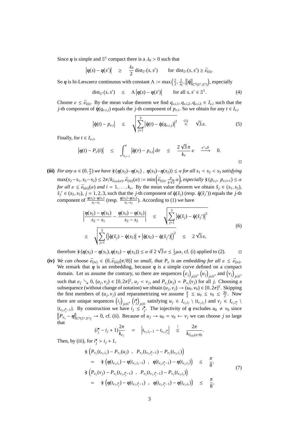Since  $\eta$  is simple and  $\mathbb{S}^1$  compact there is a  $\lambda_0 > 0$  such that

$$
\left|\eta(s)-\eta(s')\right| \geq \frac{\lambda_0}{2} \operatorname{dist}_{\mathbb{S}^1}(s,s') \quad \text{for } \operatorname{dist}_{\mathbb{S}^1}(s,s') \geq \bar{\varepsilon}_{\text{(ii)}}.
$$

So  $\eta$  is bi-Lipschitz continuous with constant  $\Lambda := \max\left(\frac{2}{\lambda}, \frac{2}{\lambda_0}, \frac{2}{\lambda_0}\right)$  $\|\eta\|$  $\|_{C^0(\mathbb{S}^1,\mathbb{R}^3)}$ , especially j j

$$
\text{dist}_{\mathbb{S}^1}(s, s') \quad \leq \quad \Lambda \left| \eta(s) - \eta(s') \right| \qquad \text{for all } s, s' \in \mathbb{S}^1. \tag{4}
$$

Choose  $\varepsilon \leq \bar{\varepsilon}_{(ii)}$ . By the mean value theorem we find  $q_{\varepsilon,i,1}, q_{\varepsilon,i,2}, q_{\varepsilon,i,3} \in I_{\varepsilon,i}$  such that the *j*-th component of  $\dot{\eta}(q_{\varepsilon,i,j})$  equals the *j*-th component of  $p_{\varepsilon,i}$ . So we obtain for any  $t \in I_{\varepsilon,i}$ 

$$
\left|\dot{\eta}(t)-p_{\varepsilon,i}\right| \leq \sqrt{\sum_{j=1}^{3} \left|\dot{\eta}(t)-\dot{\eta}(q_{\varepsilon,i,j})\right|^{2}} \quad \stackrel{(1)}{<} \quad \sqrt{3}\,\varepsilon. \tag{5}
$$

Finally, for  $t \in I_{\varepsilon,i}$ ,

$$
\left|\eta(t)-P_{\varepsilon}(t)\right| \leq \int_{t_{\varepsilon,i-1}}^{t} \left|\dot{\eta}(\tau)-p_{\varepsilon,i}\right| d\tau \leq \frac{2\sqrt{3}\pi}{k_{\varepsilon}} \varepsilon \xrightarrow{\varepsilon \searrow 0} 0.
$$

(iii) *For any*  $\alpha \in (0, \frac{\pi}{2})$  *we have*  $\angle(\eta(s_2) - \eta(s_1), \eta(s_3) - \eta(s_2)) \leq \alpha$  *for all*  $s_1 < s_2 < s_3$  *satisfying*  $T \cdot \frac{\partial}{\partial x} \cdot \frac{\partial}{\partial y} = \frac{\partial}{\partial y} \cdot \frac{\partial}{\partial z} \cdot \frac{\partial}{\partial z} = \frac{\partial}{\partial z} \cdot \frac{\partial}{\partial z} \cdot \frac{\partial}{\partial z} = \frac{\partial}{\partial z} \cdot \frac{\partial}{\partial z} \cdot \frac{\partial}{\partial z} = \frac{\partial}{\partial z} \cdot \frac{\partial}{\partial z} \cdot \frac{\partial}{\partial z}$  $\frac{\mu}{4\sqrt{3}}\alpha$ , especially  $\angle(p_{\varepsilon,i}, p_{\varepsilon,i+1}) \leq \alpha$ *for all*  $\varepsilon \le \bar{\varepsilon}_{(iii)}(\alpha)$  *and*  $i = 1, ..., k_{\varepsilon}$ . By the mean value theorem we obtain  $\tilde{s}_i \in (s_1, s_2)$ ,  $\tilde{s}_j' \in (s_2, s_3), j = 1, 2, 3$ , such that the *j*-th component of  $\dot{\eta}(\tilde{s}_j)$  (resp.  $\dot{\eta}(\tilde{s}_j')$ ) equals the *j*-th component of  $\frac{\eta(s_2)-\eta(s_1)}{s_2-s_1}$  (resp.  $\frac{\eta(s_3)-\eta(s_2)}{s_3-s_2}$ ). According to (1) we have

$$
\left| \frac{\boldsymbol{\eta}(s_2) - \boldsymbol{\eta}(s_1)}{s_2 - s_1} - \frac{\boldsymbol{\eta}(s_3) - \boldsymbol{\eta}(s_2)}{s_3 - s_2} \right| \leq \sqrt{\sum_{j=1}^3 \left| \dot{\boldsymbol{\eta}}(\tilde{s}_j) - \dot{\boldsymbol{\eta}}(\tilde{s}_j') \right|^2}
$$
\n
$$
\leq \sqrt{\sum_{j=1}^3 \left( \left| \dot{\boldsymbol{\eta}}(\tilde{s}_j) - \dot{\boldsymbol{\eta}}(s_2) \right| + \left| \dot{\boldsymbol{\eta}}(s_2) - \dot{\boldsymbol{\eta}}(\tilde{s}_j') \right| \right)^2} \leq 2\sqrt{3} \varepsilon,
$$
\n(6)

therefore  $\angle(\eta(s_2) - \eta(s_1), \eta(s_3) - \eta(s_2)) \le \alpha$  if 2  $\overline{3} \varepsilon \leq \frac{1}{2} \mu \alpha$ , cf. (i) applied to (2).  $\Box$ 

**(iv)** *We can choose*  $\bar{\varepsilon}_{\text{(iv)}} \in (0, \bar{\varepsilon}_{\text{(iii)}}(\pi/8))$  *so small, that*  $P_{\varepsilon}$  *is an embedding for all*  $\varepsilon \leq \bar{\varepsilon}_{\text{(iv)}}$ . We remark that  $\eta$  is an embedding, because  $\eta$  is a simple curve defined on a compact we remark that  $\eta$  is an embedding, because  $\eta$  is a simple curve defined on a compact domain. Let us assume the contrary, so there are sequences  $(\varepsilon_j)_{j \in \mathbb{N}}, (u_j)_{j \in \mathbb{N}},$  and  $(v_j)_{j \in \mathbb{N}},$ such that  $\varepsilon_j \searrow 0$ ,  $(u_j, v_j) \in [0, 2\pi]^2$ ,  $u_j < v_j$ , and  $P_{\varepsilon_j}(u_j) = P_{\varepsilon_j}(v_j)$  for all *j*. Choosing a subsequence (without change of notation) we obtain  $(u_j, v_j) \rightarrow (u_0, v_0) \in [0, 2\pi]^2$ . Skipping the first members of  $(u_j, v_j)$  and reparametrizing we assume  $\frac{\pi}{2} \le u_0 \le v_0 \le \frac{3\pi}{2}$ . Now there are unique sequences  $(i_j)_{j \in \mathbb{N}}$ ,  $(i_j^{\bullet})_{j \in \mathbb{N}}$  satisfying  $u_j \in I_{\varepsilon_j, i_j} \setminus \{t_{\varepsilon_j, i_j}\}$  and  $v_j \in I_{\varepsilon_j, i_j^{\bullet}}$  $\{t_{\varepsilon_j, i_j^* - 1}\}$ . By construction we have  $i_j \leq i_j^*$ . The injectivity of  $\eta$  excludes  $u_0 \neq v_0$  since  $||P_{\varepsilon_j} - \eta||_{C^0(\mathbb{S}^1, \mathbb{R}^3)} \to 0$ , cf. (ii). Because of  $u_j \to u_0 = v_0 \leftarrow v_j$  we can choose *j* so large that j j

$$
(i_j^{\bullet} - i_j + 1) \frac{2\pi}{k_{\varepsilon_j}} = |t_{\varepsilon_j, i_j - 1} - t_{\varepsilon_j, i_j}| \leq \frac{2\pi}{k_{\bar{\varepsilon}_{(iii)}(\pi/8)}}.
$$

Then, by (iii), for  $i_j^{\bullet} > i_j + 1$ ,

$$
\times (P_{\varepsilon_{j}}(t_{\varepsilon_{j},i_{j}}) - P_{\varepsilon_{j}}(u_{j}), \quad P_{\varepsilon_{j}}(t_{\varepsilon_{j},i_{j}^{*}-1}) - P_{\varepsilon_{j}}(t_{\varepsilon_{j},i_{j}}) )
$$
\n
$$
= \times (\eta(t_{\varepsilon_{j},i_{j}}) - \eta(t_{\varepsilon_{j},i_{j}-1}), \quad \eta(t_{\varepsilon_{j},i_{j}^{*}-1}) - \eta(t_{\varepsilon_{j},i_{j}}) ) \leq \frac{\pi}{8},
$$
\n
$$
\times (P_{\varepsilon_{j}}(v_{j}) - P_{\varepsilon_{j}}(t_{\varepsilon_{j},i_{j}^{*}-1}), \quad P_{\varepsilon_{j}}(t_{\varepsilon_{j},i_{j}^{*}-1}) - P_{\varepsilon_{j}}(t_{\varepsilon_{j},i_{j}}) )
$$
\n
$$
= \times (\eta(t_{\varepsilon_{j},i_{j}^{*}}) - \eta(t_{\varepsilon_{j},i_{j}^{*}-1}), \quad \eta(t_{\varepsilon_{j},i_{j}^{*}-1}) - \eta(t_{\varepsilon_{j},i_{j}})) \leq \frac{\pi}{8},
$$
\n(7)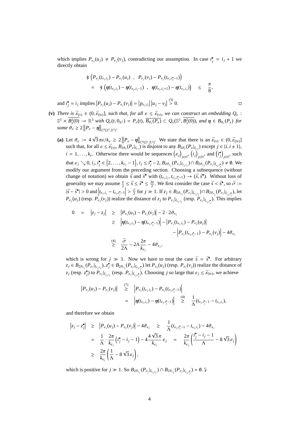which implies  $P_{\varepsilon_j}(u_j) \neq P_{\varepsilon_j}(v_j)$ , contradicting our assumption. In case  $i_j^* = i_j + 1$  we directly obtain

$$
\begin{array}{lcl}\n\hat{\star} \left( P_{\varepsilon_j}(t_{\varepsilon_j,i_j}) - P_{\varepsilon_j}(u_j) \right), & P_{\varepsilon_j}(v_j) - P_{\varepsilon_j}(t_{\varepsilon_j,i_j^* - 1}) \right) \\
= & \hat{\star} \left( \eta(t_{\varepsilon_j,i_j}) - \eta(t_{\varepsilon_j,i_j-1}) \right), & \eta(t_{\varepsilon_j,i_j+1}) - \eta(t_{\varepsilon_j,i_j}) \right) \leq & \frac{\pi}{8},\n\end{array}
$$

and  $i_j^{\bullet} = i_j$  implies  $P_{\varepsilon_j}(u_j) - P_{\varepsilon_j}(v_j)$  $\vert$  =  $|p_{\varepsilon_j,i_j}|$  $\overline{\mathbf{I}}$  $|u_j - v_j|$  $\vert \stackrel{(3)}{>} 0.$ 

- **(v)** *There is*  $\bar{\varepsilon}_{(v)} \in (0, \bar{\varepsilon}_{(iv)}]$ *, such that, for all*  $\varepsilon \leq \bar{\varepsilon}_{(v)}$ *, we can construct an embedding*  $Q_{\varepsilon}$ :  $\mathbb{S}^1 \times B_1^2(0) \to \mathbb{R}^3$  *with*  $Q_{\varepsilon}(t, 0_{\mathbb{R}^2}) = P_{\varepsilon}(t), \overline{B_{\vartheta_{\varepsilon}}(P_{\varepsilon})} \subset Q_{\varepsilon}(\mathbb{S}^1, B_1^2(0))$ *, and*  $\eta \in B_{\vartheta_{\varepsilon}}(P_{\varepsilon})$  for *some*  $\vartheta_{\varepsilon} \geq 2 \left\| P_{\varepsilon} - \eta \right\|_{C^{0}(\mathbb{S}^{1}, \mathbb{R}^{3})}.$ 
	- **(a)** Let  $\vartheta_{\varepsilon} := 4$ √  $\frac{1}{3} \pi \varepsilon / k_{\varepsilon} \geq 2$  $\Vert P_{\varepsilon} - \eta \Vert$  $\big\|_{C^0(\mathbb{S}^1,\mathbb{R}^3)}$ . We state that there is an  $\bar{\varepsilon}_{(v)} \in (0,\bar{\varepsilon}_{(iv)})$ such that, for all  $\varepsilon \le \bar{\varepsilon}_{(v)}, B_{2\vartheta_{\varepsilon}}(P_{\varepsilon}|_{I_{\varepsilon,i}})$  is disjoint to any  $B_{2\vartheta_{\varepsilon}}(P_{\varepsilon}|_{I_{\varepsilon,i}})$  except  $j \in \{i, i \pm 1\}$ , such that, for an  $\varepsilon \le \varepsilon_{(v)}, B_{2\theta_{\varepsilon}}(t \varepsilon | t_{\varepsilon,i})$  is disjoint to any  $B_{2\theta_{\varepsilon}}(t \varepsilon | t_{\varepsilon,j})$  except  $j \in \{i, i \pm 1\}$ ,<br> *i* = 1, ...,  $k_{\varepsilon}$ . Otherwise there would be sequences  $(\varepsilon_j)_{j \in \mathbb{N}}$ ,  $(i_j)_{j \$ that  $\varepsilon_j \searrow 0$ ,  $i_j$ ,  $i_j^{\bullet} \in \{2, ..., k_{\varepsilon_j} - 1\}$ ,  $i_j \le i_j^{\bullet} - 2$ ,  $B_{2\vartheta_{\varepsilon_j}}(P_{\varepsilon_j}|_{I_{\varepsilon_j,i_j}}) \cap B_{2\vartheta_{\varepsilon_j}}(P_{\varepsilon_j}|_{I_{\varepsilon_j,i_j^{\bullet}}}) \ne \emptyset$ . We modify our argument from the preceding section. Choosing a subsequence (without change of notation) we obtain  $\bar{s}$  and  $\bar{s}^{\bullet}$  with  $(t_{\varepsilon_j,i_j}, t_{\varepsilon_j,i_j^{\bullet}-1}) \to (\bar{s}, \bar{s}^{\bullet})$ . Without loss of generality we may assume  $\frac{\pi}{2} \le \bar{s} \le \bar{s}^* \le \frac{3\pi}{2}$ . We first consider the case  $\bar{s} < \bar{s}^*$ , so  $\bar{\sigma} :=$  $|\bar{s}-\bar{s}^{\bullet}|>0$  and  $|t_{\varepsilon_j,i_j}-t_{\varepsilon_j,i_j^{\bullet}-1}|\geq \frac{\bar{\sigma}}{2}$  for  $j\gg 1$ . If  $z_j\in B_{2\vartheta_{\varepsilon_j}}(P_{\varepsilon_j}|_{I_{\varepsilon_j,i_j^{\bullet}}})\cap B_{2\vartheta_{\varepsilon_j}}(P_{\varepsilon_j}|_{I_{\varepsilon_j,i_j^{\bullet}}})$ , let  $P_{\varepsilon_j}(u_j)$  (resp.  $P_{\varepsilon_j}(v_j)$ ) realize the distance of  $z_j$  to  $P_{\varepsilon_j}|_{I_{\varepsilon_j,i_j}}$  (resp.  $P_{\varepsilon_j}|_{I_{\varepsilon_j,i_j}}$ ). This implies

$$
0 = |z_j - z_j| \ge |P_{\varepsilon_j}(u_j) - P_{\varepsilon_j}(v_j)| - 2 \cdot 2\vartheta_{\varepsilon_j}
$$
  
\n
$$
\ge |\eta(t_{\varepsilon_j, i_j}) - \eta(t_{\varepsilon_j, i_j - 1})| - |P_{\varepsilon_j}(t_{\varepsilon_j, i_j}) - P_{\varepsilon_j}(u_j)| - |P_{\varepsilon_j}(t_{\varepsilon_j, i_j - 1}) - P_{\varepsilon_j}(v_j)| - 4\vartheta_{\varepsilon_j}
$$
  
\n
$$
\stackrel{(4)}{\ge} \frac{\bar{\sigma}}{2\Lambda} - 2\Lambda \frac{2\pi}{k_{\varepsilon_j}} - 4\vartheta_{\varepsilon_j},
$$

which is wrong for  $j \gg 1$ . Now we have to treat the case  $\bar{s} = \bar{s}^{\bullet}$ . For arbitrary  $z_j \in B_{2\vartheta_{\varepsilon_j}}(P_{\varepsilon_j}|_{I_{\varepsilon_j,i_j}}), z_j^{\bullet} \in B_{2\vartheta_{\varepsilon_j}}(P_{\varepsilon_j}|_{I_{\varepsilon_j,i_j^{\bullet}}})$  let  $P_{\varepsilon_j}(u_j)$  (resp.  $P_{\varepsilon_j}(v_j)$ ) realize the distance of  $z_j$  (resp.  $z_j^*$ ) to  $P_{\varepsilon_j}|_{L_{\varepsilon_j},L_j}$  (resp.  $P_{\varepsilon_j}|_{L_{\varepsilon_j},L_j}$ ). Choosing j so large that  $\varepsilon_j \le \bar{\varepsilon}_{(iv)}$ , we achieve

$$
\begin{array}{rcl}\n\left|P_{\varepsilon_{j}}(u_{j})-P_{\varepsilon_{j}}(v_{j})\right| & \stackrel{(7)}{\geq} & \left|P_{\varepsilon_{j}}(t_{\varepsilon_{j},i_{j}})-P_{\varepsilon_{j}}(t_{\varepsilon_{j},i_{j}^{*}-1})\right| \\
& = & \left|\eta(t_{\varepsilon_{j},i_{j}})-\eta(t_{\varepsilon_{j},i_{j}^{*}-1})\right| & \stackrel{(4)}{\geq} & \frac{1}{\Lambda}(t_{\varepsilon_{j},i_{j}^{*}-1}-t_{\varepsilon_{j},i_{j}}),\n\end{array}
$$

and therefore we obtain

$$
\begin{array}{rcl}\n\left|z_{j}-z_{j}^{\bullet}\right| &\geq & \left|P_{\varepsilon_{j}}(u_{j})-P_{\varepsilon_{j}}(v_{j})\right| - 4\vartheta_{\varepsilon_{j}} &\geq & \frac{1}{\Lambda}(t_{\varepsilon_{j},i_{j}^{\star}-1}-t_{\varepsilon_{j},i_{j}}) - 4\vartheta_{\varepsilon_{j}} \\
&=& \frac{1}{\Lambda} \cdot \frac{2\pi}{k_{\varepsilon_{j}}}\left(i_{j}^{\bullet}-i_{j}-1\right) - 4\frac{4\sqrt{3}\pi}{k_{\varepsilon_{j}}}\varepsilon_{j} &=& \frac{2\pi}{k_{\varepsilon_{j}}}\left(\frac{i_{j}^{\bullet}-i_{j}-1}{\Lambda} - 8\sqrt{3}\,\varepsilon_{j}\right) \\
&\geq & \frac{2\pi}{k_{\varepsilon_{j}}}\left(\frac{1}{\Lambda} - 8\sqrt{3}\,\varepsilon_{j}\right),\n\end{array}
$$

which is positive for  $j \gg 1$ . So  $B_{2\vartheta_{\varepsilon_j}}(P_{\varepsilon_j}|_{I_{\varepsilon_j,i_j}}) \cap B_{2\vartheta_{\varepsilon_j}}(P_{\varepsilon_j}|_{I_{\varepsilon_j,i_j'}}) = \emptyset$ .  $\sharp$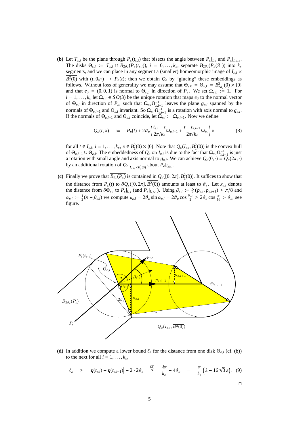**(b)** Let  $T_{\varepsilon,i}$  be the plane through  $P_{\varepsilon}(t_{\varepsilon,i})$  that bisects the angle between  $P_{\varepsilon}|_{I_{\varepsilon,i}}$  and  $P_{\varepsilon}|_{I_{\varepsilon,i+1}}$ . The disks  $\Theta_{\varepsilon,i} := T_{\varepsilon,i} \cap B_{2\vartheta_{\varepsilon}}(P_{\varepsilon}(t_{\varepsilon,i}))$ ,  $i = 0,\ldots,k_{\varepsilon}$ , separate  $B_{2\vartheta_{\varepsilon}}(P_{\varepsilon}(S^1))$  into  $k_{\varepsilon}$ segments, and we can place in any segment a (smaller) homeomorphic image of  $I_{\varepsilon,i}$   $\times$  $B_1^2(0)$  with  $(t, 0_{\mathbb{R}^2}) \mapsto P_{\varepsilon}(t)$ ; then we obtain  $Q_{\varepsilon}$  by "glueing" these embeddings as follows. Without loss of generality we may assume that  $\Theta_{\varepsilon,0} = \Theta_{\varepsilon,k} = B_{2\theta_{\varepsilon}}^2(0) \times \{0\}$ and that  $e_3 = (0, 0, 1)$  is normal to  $\Theta_{\varepsilon, 0}$  in direction of  $P_{\varepsilon}$ . We set  $\Omega_{\varepsilon, 0} := 1$ . For  $i = 1, \ldots, k_{\varepsilon}$  let  $\Omega_{\varepsilon,i} \in S O(3)$  be the unique rotation that maps  $e_3$  to the normal vector of  $\Theta_{\varepsilon,i}$  in direction of  $P_{\varepsilon}$ , such that  $\Omega_{\varepsilon,i}\Omega_{\varepsilon,i-1}^{-1}$  leaves the plane  $g_{\varepsilon,i}$  spanned by the normals of  $\Theta_{\varepsilon,i-1}$  and  $\Theta_{\varepsilon,i}$  invariant. So  $\Omega_{\varepsilon,i}\Omega_{\varepsilon,i-1}^{-1}$  is a rotation with axis normal to  $g_{\varepsilon,i}$ . If the normals of  $\Theta_{\varepsilon,i-1}$  and  $\Theta_{\varepsilon,i}$  coincide, let  $\Omega_{\varepsilon,i} := \Omega_{\varepsilon,i-1}$ . Now we define

$$
Q_{\varepsilon}(t,x) \quad := \quad P_{\varepsilon}(t) + 2\vartheta_{\varepsilon} \left( \frac{t_{\varepsilon,i} - t}{2\pi/k_{\varepsilon}} \Omega_{\varepsilon,i-1} + \frac{t - t_{\varepsilon,i-1}}{2\pi/k_{\varepsilon}} \Omega_{\varepsilon,i} \right) x \tag{8}
$$

for all  $t \in I_{\varepsilon,i}$ ,  $i = 1, ..., k_{\varepsilon}$ ,  $x \in B_1^2(0) \times \{0\}$ . Note that  $Q_{\varepsilon}(I_{\varepsilon,i}, B_1^2(0))$  is the convex hull of  $\Theta_{\varepsilon,i-1} \cup \Theta_{\varepsilon,i}$ . The embeddedness of  $Q_{\varepsilon}$  on  $I_{\varepsilon,i}$  is due to the fact that  $\Omega_{\varepsilon,i}\Omega_{\varepsilon,i-1}^{-1}$  is just a rotation with small angle and axis normal to  $g_{\varepsilon,i}$ . We can achieve  $Q_{\varepsilon}(0, \cdot) = Q_{\varepsilon}(2\pi, \cdot)$ by an additional rotation of  $Q_{\varepsilon}|_{I_{\varepsilon,k_{\varepsilon}}\times\overline{B_{1}^{2}(0)}}$  about  $P_{\varepsilon}|_{I_{\varepsilon,k_{\varepsilon}}}.$ 

(c) Finally we prove that  $\overline{B_{\theta_{\varepsilon}}(P_{\varepsilon})}$  is contained in  $Q_{\varepsilon}([0, 2\pi], B_1^2(0))$ . It suffices to show that the distance from  $P_{\varepsilon}(t)$  to  $\partial Q_{\varepsilon}([0, 2\pi], B_1^2(0))$  amounts at least to  $\vartheta_{\varepsilon}$ . Let  $\kappa_{\varepsilon,i}$  denote the distance from  $\partial \Theta_{\varepsilon,i}$  to  $P_{\varepsilon}|_{I_{\varepsilon,i}}$  (and  $P_{\varepsilon}|_{I_{\varepsilon,i+1}}$ ). Using  $\beta_{\varepsilon,i} := \xi(p_{\varepsilon,i}, p_{\varepsilon,i+1}) \le \pi/8$  and  $\alpha_{\varepsilon,i} := \frac{1}{2}(\pi - \beta_{\varepsilon,i})$  we compute  $\kappa_{\varepsilon,i} = 2\vartheta_{\varepsilon} \sin \alpha_{\varepsilon,i} = 2\vartheta_{\varepsilon} \cos \frac{\beta_{\varepsilon,i}}{2} \ge 2\vartheta_{\varepsilon} \cos \frac{\pi}{16} > \vartheta_{\varepsilon}$ , see figure.



**(d)** In addition we compute a lower bound  $\ell_{\varepsilon}$  for the distance from one disk  $\Theta_{\varepsilon,i}$  (cf. (b)) to the next for all  $i = 1, \ldots, k_{\epsilon}$ ,

$$
\ell_{\varepsilon} \geq |\eta(t_{\varepsilon,i}) - \eta(t_{\varepsilon,i-1})| - 2 \cdot 2 \vartheta_{\varepsilon} \geq \frac{3\pi}{k_{\varepsilon}} - 4 \vartheta_{\varepsilon} = \frac{\pi}{k_{\varepsilon}} \left( \lambda - 16 \sqrt{3} \varepsilon \right). (9)
$$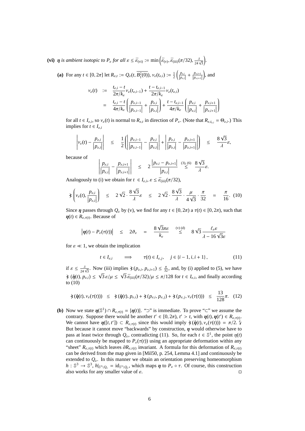(vi)  $\eta$  *is ambient isotopic to*  $P_{\varepsilon}$  *for all*  $\varepsilon \leq \bar{\varepsilon}_{\text{(vi)}} := \min\left(\bar{\varepsilon}_{\text{(v)}}, \bar{\varepsilon}_{\text{(iii)}}(\pi/32), \frac{\lambda}{24\sqrt{3}}\right)$  $\overline{a}$ *.*  $\overline{a}$ 

**(a)** For any  $t \in [0, 2\pi]$  let  $R_{\varepsilon,t} := Q_{\varepsilon}(t, B_1^2(0)), v_{\varepsilon}(t_{\varepsilon,t}) := \frac{1}{2}$  $\left(\frac{p_{\varepsilon,i}}{|p_{\varepsilon,i}|} + \frac{p_{\varepsilon,i+1}}{|p_{\varepsilon,i+1}|}\right)$ , and

$$
\nu_{\varepsilon}(t) := \frac{t_{\varepsilon,i} - t}{2\pi/k_{\varepsilon}} \nu_{\varepsilon}(t_{\varepsilon,i-1}) + \frac{t - t_{\varepsilon,i-1}}{2\pi/k_{\varepsilon}} \nu_{\varepsilon}(t_{\varepsilon,i})
$$
  
= 
$$
\frac{t_{\varepsilon,i} - t}{4\pi/k_{\varepsilon}} \left( \frac{p_{\varepsilon,i-1}}{|p_{\varepsilon,i-1}|} + \frac{p_{\varepsilon,i}}{|p_{\varepsilon,i}|} \right) + \frac{t - t_{\varepsilon,i-1}}{4\pi/k_{\varepsilon}} \left( \frac{p_{\varepsilon,i}}{|p_{\varepsilon,i}|} + \frac{p_{\varepsilon,i+1}}{|p_{\varepsilon,i+1}|} \right)
$$

for all  $t \in I_{\varepsilon,i}$ , so  $v_{\varepsilon}(t)$  is normal to  $R_{\varepsilon,t}$  in direction of  $P_{\varepsilon}$ . (Note that  $R_{\varepsilon,t_{\varepsilon,i}} = \Theta_{\varepsilon,i}$ .) This implies for  $t \in I_{\varepsilon,i}$ 

$$
\left| v_{\varepsilon}(t) - \frac{p_{\varepsilon,i}}{|p_{\varepsilon,i}|} \right| \leq \frac{1}{2} \left( \left| \frac{p_{\varepsilon,i-1}}{|p_{\varepsilon,i-1}|} - \frac{p_{\varepsilon,i}}{|p_{\varepsilon,i}|} \right| + \left| \frac{p_{\varepsilon,i}}{|p_{\varepsilon,i}|} - \frac{p_{\varepsilon,i+1}}{|p_{\varepsilon,i+1}|} \right| \right) \leq \frac{8\sqrt{3}}{\lambda} \varepsilon,
$$

because of 

$$
\left|\frac{p_{\varepsilon,i}}{|p_{\varepsilon,i}|}-\frac{p_{\varepsilon,i+1}}{|p_{\varepsilon,i+1}|}\right| \leq 2\frac{|p_{\varepsilon,i}-p_{\varepsilon,i+1}|}{|p_{\varepsilon,i}|}\overset{(3),\ (6)}{\leq} \frac{8\sqrt{3}}{\lambda}\varepsilon.
$$

Analogously to (i) we obtain for  $t \in I_{\varepsilon,i}, \varepsilon \leq \bar{\varepsilon}_{\text{(iii)}}(\pi/32)$ ,

$$
\ast \left( v_{\varepsilon}(t), \frac{p_{\varepsilon,i}}{|p_{\varepsilon,i}|} \right) \leq 2\sqrt{2} \cdot \frac{8\sqrt{3}}{\lambda} \varepsilon \leq 2\sqrt{2} \cdot \frac{8\sqrt{3}}{\lambda} \cdot \frac{\mu}{4\sqrt{3}} \cdot \frac{\pi}{32} = \frac{\pi}{16}. (10)
$$

Since *η* passes through  $Q_{\varepsilon}$  by (v), we find for any  $t \in [0, 2\pi)$  a  $\tau(t) \in [0, 2\pi)$ , such that  $\eta(t) \in R_{\varepsilon, \tau(t)}$ . Because of

$$
|\eta(t) - P_{\varepsilon}(\tau(t))|
$$
  $\leq 2\vartheta_{\varepsilon} = \frac{8\sqrt{3}\pi\varepsilon}{k_{\varepsilon}} \overset{(v)(d)}{\leq} 8\sqrt{3} \frac{l_{\varepsilon}\varepsilon}{\lambda - 16\sqrt{3}\varepsilon}$ 

for  $\varepsilon \ll 1$ , we obtain the implication

$$
t \in I_{\varepsilon,i} \qquad \Longrightarrow \qquad \tau(t) \in I_{\varepsilon,j}, \quad j \in \{i-1, i, i+1\}, \tag{11}
$$

43

if  $\varepsilon \le \frac{\lambda}{24\sqrt{3}}$ . Now (iii) implies  $\hat{\chi}(p_{\varepsilon,i}, p_{\varepsilon,i+1}) \le \frac{\pi}{32}$ , and, by (i) applied to (5), we have  $\angle$  ( $\dot{\eta}(t)$ ,  $p_{\varepsilon,i}$ )  $\leq \sqrt{3} \varepsilon/\mu \leq \sqrt{3} \bar{\varepsilon}_{\text{(iii)}}(\pi/32)/\mu \leq \pi/128$  for  $t \in I_{\varepsilon,i}$ , and finally according to (10)

$$
\dot{\chi}(\dot{\eta}(t), \nu_{\varepsilon}(\tau(t))) \leq \dot{\chi}(\dot{\eta}(t), p_{\varepsilon,i}) + \dot{\chi}(p_{\varepsilon,i}, p_{\varepsilon,j}) + \dot{\chi}(p_{\varepsilon,i}, \nu_{\varepsilon}(\tau(t))) \leq \frac{13}{128}\pi. (12)
$$

**(b)** Now we state  $\eta(\mathbb{S}^1) \cap R_{\varepsilon, \tau(t)} = {\eta(t)}$ . "⊃" is immediate. To prove "⊂" we assume the contrary. Suppose there would be another  $t' \in [0, 2\pi)$ ,  $t' > t$ , with  $\eta(t), \eta(t') \in R_{\varepsilon, \tau(t)}$ . We cannot have  $\eta([t, t']) \subset R_{\varepsilon, \tau(t)}$  since this would imply  $\dot{\chi}(\dot{\eta}(t), v_{\varepsilon}(\tau(t))) = \pi/2$ . But because it cannot move "backwards" by construction,  $\eta$  would otherwise have to pass at least twice through  $Q_{\varepsilon}$ , contradicting (11). So, for each  $t \in \mathbb{S}^1$ , the point  $\eta(t)$ can continuously be mapped to  $P_{\varepsilon}(\tau(t))$  using an appropriate deformation within any "sheet"  $R_{\varepsilon,\tau(t)}$  which leaves  $\partial R_{\varepsilon,\tau(t)}$  invariant. A formula for this deformation of  $R_{\varepsilon,\tau(t)}$ can be derived from the map given in [Mil50, p. 254, Lemma 4.1] and continuously be extended to  $Q_{\varepsilon}$ . In this manner we obtain an orientation preserving homeomorphism  $h: \mathbb{S}^3 \to \mathbb{S}^3$ ,  $h|_{\mathbb{S}^3 \setminus Q_{\varepsilon}} = \mathrm{id}_{\mathbb{S}^3 \setminus Q_{\varepsilon}}$ , which maps  $\eta$  to  $P_{\varepsilon} \circ \tau$ . Of course, this construction also works for any smaller value of  $\varepsilon$ .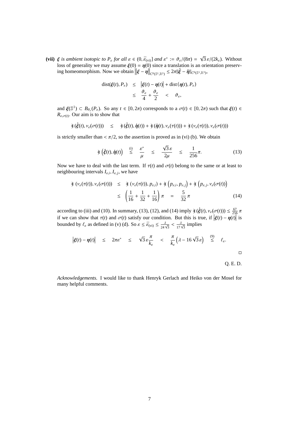(vii)  $\xi$  *is ambient isotopic to*  $P_{\varepsilon}$  *for all*  $\varepsilon \in (0, \bar{\varepsilon}_{(vi)})$  *and*  $\varepsilon^* := \vartheta_{\varepsilon}/(8\pi) =$ √  $\overline{3} \varepsilon/(2k_{\varepsilon})$ . Without loss of generality we may assume  $\xi(0) = \eta(0)$  since a translation is an orientation preserving homeomorphism. Now we obtain ) = η(ι<br>∥ξ – η *C*<sub>0(S<sup>1</sup>,R<sup>3</sup>)</sub>  $\leq 2\pi$  $|\dot{\xi} - \dot{\eta}|_{C^0(\mathbb{S}^1, \mathbb{R}^3)}$ ,

dist(
$$
\xi(t)
$$
,  $P_{\varepsilon}$ )  $\leq$   $|\xi(t) - \eta(t)| + \text{dist}(\eta(t), P_{\varepsilon})$   
 $\leq \frac{\vartheta_{\varepsilon}}{4} + \frac{\vartheta_{\varepsilon}}{2} < \vartheta_{\varepsilon},$ 

and  $\xi(\mathbb{S}^1) \subset B_{\theta_{\varepsilon}}(P_{\varepsilon})$ . So any  $t \in [0, 2\pi)$  corresponds to a  $\sigma(t) \in [0, 2\pi)$  such that  $\xi(t) \in$  $R_{\varepsilon,\sigma(t)}$ . Our aim is to show that

$$
\dot{\mathcal{F}}(\dot{\xi}(t),\nu_{\varepsilon}(\sigma(t))) \leq \dot{\mathcal{F}}(\dot{\xi}(t),\dot{\eta}(t)) + \dot{\mathcal{F}}(\dot{\eta}(t),\nu_{\varepsilon}(\tau(t))) + \dot{\mathcal{F}}(\nu_{\varepsilon}(\tau(t)),\nu_{\varepsilon}(\sigma(t)))
$$

is strictly smaller than  $\langle \pi/2 \rangle$ , so the assertion is proved as in (vi) (b). We obtain

$$
\dot{\ast} \left( \dot{\xi}(t), \dot{\eta}(t) \right) \stackrel{\text{(i)}}{\leq} \frac{\varepsilon^*}{\mu} \leq \frac{\sqrt{3} \varepsilon}{2\mu} \leq \frac{1}{256} \pi. \tag{13}
$$

Now we have to deal with the last term. If  $\tau(t)$  and  $\sigma(t)$  belong to the same or at least to neighbouring intervals  $I_{\varepsilon,i}$ ,  $I_{\varepsilon,j}$ , we have

$$
\begin{aligned}\n\dot{\star} \left( v_{\varepsilon}(\tau(t)), v_{\varepsilon}(\sigma(t)) \right) &\leq \quad \dot{\star} \left( v_{\varepsilon}(\tau(t)), p_{\varepsilon,i} \right) + \dot{\star} \left( p_{\varepsilon,i}, p_{\varepsilon,j} \right) + \dot{\star} \left( p_{\varepsilon,i}, v_{\varepsilon}(\sigma(t)) \right) \\
&\leq \quad \left( \frac{1}{16} + \frac{1}{32} + \frac{1}{16} \right) \pi = \frac{5}{32} \pi\n\end{aligned} \tag{14}
$$

according to (iii) and (10). In summary, (13), (12), and (14) imply  $\angle(\dot{\xi}(t), v_{\varepsilon}(\sigma(t))) \leq \frac{67}{256}\pi$ if we can show that  $\tau(t)$  and  $\sigma(t)$  satisfy our condition. But this is true, if  $\sigma(t))$   $\leq \frac{1}{25}$ <br> $\left| \xi(t) - \eta(t) \right|$  $\frac{1}{6}$  is bounded by  $\ell_{\varepsilon}$  as defined in (v) (d). So  $\varepsilon \leq \bar{\varepsilon}_{\text{(vi)}} \leq \frac{\lambda}{24\sqrt{3}} < \frac{\lambda}{17\sqrt{3}}$  implies

$$
\left| \xi(t) - \eta(t) \right| \leq 2\pi \varepsilon^* \leq \sqrt{3} \varepsilon \frac{\pi}{k_{\varepsilon}} < \frac{\pi}{k_{\varepsilon}} \left( \lambda - 16 \sqrt{3} \varepsilon \right) \leq \varepsilon.
$$

*Acknowledgements.* I would like to thank Henryk Gerlach and Heiko von der Mosel for many helpful comments.